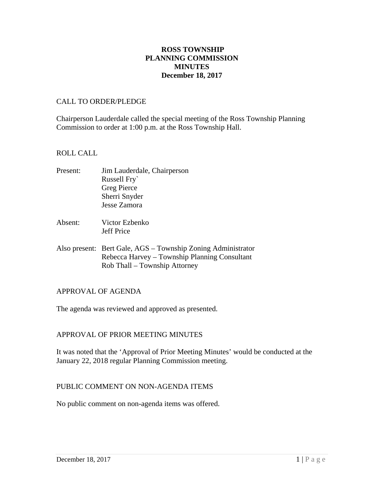# **ROSS TOWNSHIP PLANNING COMMISSION MINUTES December 18, 2017**

#### CALL TO ORDER/PLEDGE

Chairperson Lauderdale called the special meeting of the Ross Township Planning Commission to order at 1:00 p.m. at the Ross Township Hall.

#### ROLL CALL

| Present: | Jim Lauderdale, Chairperson |
|----------|-----------------------------|
|          | Russell Fry                 |
|          | <b>Greg Pierce</b>          |
|          | Sherri Snyder               |
|          | Jesse Zamora                |
|          |                             |
|          |                             |

- Absent: Victor Ezbenko Jeff Price
- Also present: Bert Gale, AGS Township Zoning Administrator Rebecca Harvey – Township Planning Consultant Rob Thall – Township Attorney

# APPROVAL OF AGENDA

The agenda was reviewed and approved as presented.

# APPROVAL OF PRIOR MEETING MINUTES

It was noted that the 'Approval of Prior Meeting Minutes' would be conducted at the January 22, 2018 regular Planning Commission meeting.

# PUBLIC COMMENT ON NON-AGENDA ITEMS

No public comment on non-agenda items was offered.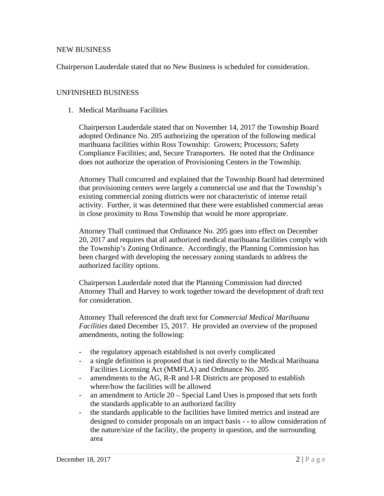#### NEW BUSINESS

Chairperson Lauderdale stated that no New Business is scheduled for consideration.

#### UNFINISHED BUSINESS

1. Medical Marihuana Facilities

Chairperson Lauderdale stated that on November 14, 2017 the Township Board adopted Ordinance No. 205 authorizing the operation of the following medical marihuana facilities within Ross Township: Growers; Processors; Safety Compliance Facilities; and, Secure Transporters. He noted that the Ordinance does not authorize the operation of Provisioning Centers in the Township.

Attorney Thall concurred and explained that the Township Board had determined that provisioning centers were largely a commercial use and that the Township's existing commercial zoning districts were not characteristic of intense retail activity. Further, it was determined that there were established commercial areas in close proximity to Ross Township that would be more appropriate.

Attorney Thall continued that Ordinance No. 205 goes into effect on December 20, 2017 and requires that all authorized medical marihuana facilities comply with the Township's Zoning Ordinance. Accordingly, the Planning Commission has been charged with developing the necessary zoning standards to address the authorized facility options.

Chairperson Lauderdale noted that the Planning Commission had directed Attorney Thall and Harvey to work together toward the development of draft text for consideration.

Attorney Thall referenced the draft text for *Commercial Medical Marihuana Facilities* dated December 15, 2017. He provided an overview of the proposed amendments, noting the following:

- the regulatory approach established is not overly complicated
- a single definition is proposed that is tied directly to the Medical Marihuana Facilities Licensing Act (MMFLA) and Ordinance No. 205
- amendments to the AG, R-R and I-R Districts are proposed to establish where/how the facilities will be allowed
- an amendment to Article 20 Special Land Uses is proposed that sets forth the standards applicable to an authorized facility
- the standards applicable to the facilities have limited metrics and instead are designed to consider proposals on an impact basis - - to allow consideration of the nature/size of the facility, the property in question, and the surrounding area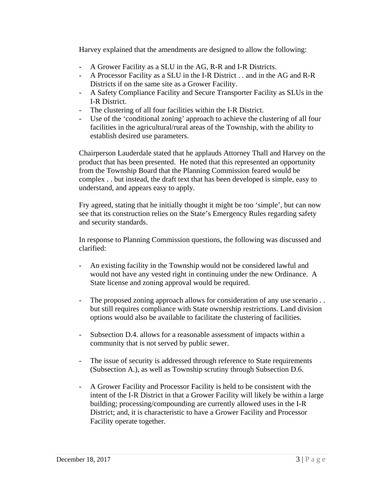Harvey explained that the amendments are designed to allow the following:

- A Grower Facility as a SLU in the AG, R-R and I-R Districts.
- A Processor Facility as a SLU in the I-R District . . and in the AG and R-R Districts if on the same site as a Grower Facility.
- A Safety Compliance Facility and Secure Transporter Facility as SLUs in the I-R District.
- The clustering of all four facilities within the I-R District.
- Use of the 'conditional zoning' approach to achieve the clustering of all four facilities in the agricultural/rural areas of the Township, with the ability to establish desired use parameters.

Chairperson Lauderdale stated that he applauds Attorney Thall and Harvey on the product that has been presented. He noted that this represented an opportunity from the Township Board that the Planning Commission feared would be complex . . but instead, the draft text that has been developed is simple, easy to understand, and appears easy to apply.

Fry agreed, stating that he initially thought it might be too 'simple', but can now see that its construction relies on the State's Emergency Rules regarding safety and security standards.

In response to Planning Commission questions, the following was discussed and clarified:

- An existing facility in the Township would not be considered lawful and would not have any vested right in continuing under the new Ordinance. A State license and zoning approval would be required.
- The proposed zoning approach allows for consideration of any use scenario . . but still requires compliance with State ownership restrictions. Land division options would also be available to facilitate the clustering of facilities.
- Subsection D.4. allows for a reasonable assessment of impacts within a community that is not served by public sewer.
- The issue of security is addressed through reference to State requirements (Subsection A.), as well as Township scrutiny through Subsection D.6.
- A Grower Facility and Processor Facility is held to be consistent with the intent of the I-R District in that a Grower Facility will likely be within a large building; processing/compounding are currently allowed uses in the I-R District; and, it is characteristic to have a Grower Facility and Processor Facility operate together.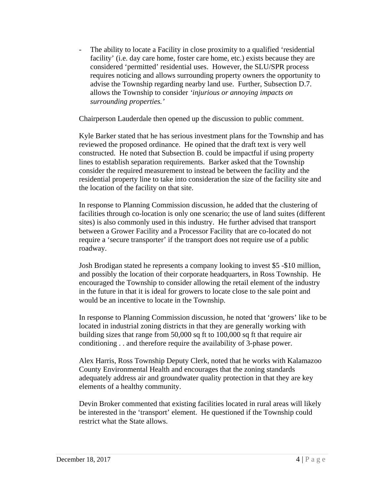- The ability to locate a Facility in close proximity to a qualified 'residential facility' (i.e. day care home, foster care home, etc.) exists because they are considered 'permitted' residential uses. However, the SLU/SPR process requires noticing and allows surrounding property owners the opportunity to advise the Township regarding nearby land use. Further, Subsection D.7. allows the Township to consider *'injurious or annoying impacts on surrounding properties.'* 

Chairperson Lauderdale then opened up the discussion to public comment.

Kyle Barker stated that he has serious investment plans for the Township and has reviewed the proposed ordinance. He opined that the draft text is very well constructed. He noted that Subsection B. could be impactful if using property lines to establish separation requirements. Barker asked that the Township consider the required measurement to instead be between the facility and the residential property line to take into consideration the size of the facility site and the location of the facility on that site.

In response to Planning Commission discussion, he added that the clustering of facilities through co-location is only one scenario; the use of land suites (different sites) is also commonly used in this industry. He further advised that transport between a Grower Facility and a Processor Facility that are co-located do not require a 'secure transporter' if the transport does not require use of a public roadway.

Josh Brodigan stated he represents a company looking to invest \$5 -\$10 million, and possibly the location of their corporate headquarters, in Ross Township. He encouraged the Township to consider allowing the retail element of the industry in the future in that it is ideal for growers to locate close to the sale point and would be an incentive to locate in the Township.

In response to Planning Commission discussion, he noted that 'growers' like to be located in industrial zoning districts in that they are generally working with building sizes that range from 50,000 sq ft to 100,000 sq ft that require air conditioning . . and therefore require the availability of 3-phase power.

Alex Harris, Ross Township Deputy Clerk, noted that he works with Kalamazoo County Environmental Health and encourages that the zoning standards adequately address air and groundwater quality protection in that they are key elements of a healthy community.

Devin Broker commented that existing facilities located in rural areas will likely be interested in the 'transport' element. He questioned if the Township could restrict what the State allows.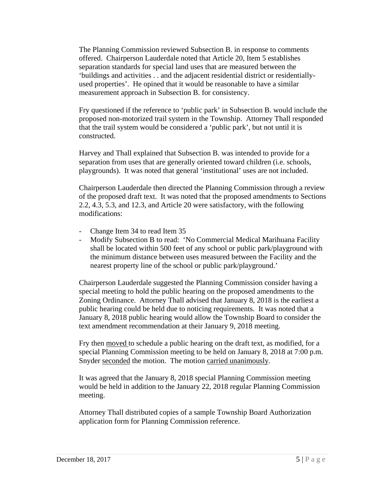The Planning Commission reviewed Subsection B. in response to comments offered. Chairperson Lauderdale noted that Article 20, Item 5 establishes separation standards for special land uses that are measured between the 'buildings and activities . . and the adjacent residential district or residentiallyused properties'. He opined that it would be reasonable to have a similar measurement approach in Subsection B. for consistency.

Fry questioned if the reference to 'public park' in Subsection B. would include the proposed non-motorized trail system in the Township. Attorney Thall responded that the trail system would be considered a 'public park', but not until it is constructed.

Harvey and Thall explained that Subsection B. was intended to provide for a separation from uses that are generally oriented toward children (i.e. schools, playgrounds). It was noted that general 'institutional' uses are not included.

Chairperson Lauderdale then directed the Planning Commission through a review of the proposed draft text. It was noted that the proposed amendments to Sections 2.2, 4.3, 5.3, and 12.3, and Article 20 were satisfactory, with the following modifications:

- Change Item 34 to read Item 35
- Modify Subsection B to read: 'No Commercial Medical Marihuana Facility shall be located within 500 feet of any school or public park/playground with the minimum distance between uses measured between the Facility and the nearest property line of the school or public park/playground.'

Chairperson Lauderdale suggested the Planning Commission consider having a special meeting to hold the public hearing on the proposed amendments to the Zoning Ordinance. Attorney Thall advised that January 8, 2018 is the earliest a public hearing could be held due to noticing requirements. It was noted that a January 8, 2018 public hearing would allow the Township Board to consider the text amendment recommendation at their January 9, 2018 meeting.

Fry then moved to schedule a public hearing on the draft text, as modified, for a special Planning Commission meeting to be held on January 8, 2018 at 7:00 p.m. Snyder seconded the motion. The motion carried unanimously.

It was agreed that the January 8, 2018 special Planning Commission meeting would be held in addition to the January 22, 2018 regular Planning Commission meeting.

Attorney Thall distributed copies of a sample Township Board Authorization application form for Planning Commission reference.